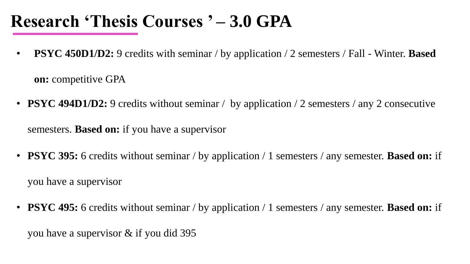## **Research 'Thesis Courses ' – 3.0 GPA**

• **PSYC 450D1/D2:** 9 credits with seminar / by application / 2 semesters / Fall - Winter. **Based** 

**on:** competitive GPA

- **PSYC 494D1/D2:** 9 credits without seminar / by application / 2 semesters / any 2 consecutive semesters. **Based on:** if you have a supervisor
- **PSYC 395:** 6 credits without seminar / by application / 1 semesters / any semester. **Based on:** if you have a supervisor
- **PSYC 495:** 6 credits without seminar / by application / 1 semesters / any semester. **Based on:** if you have a supervisor & if you did 395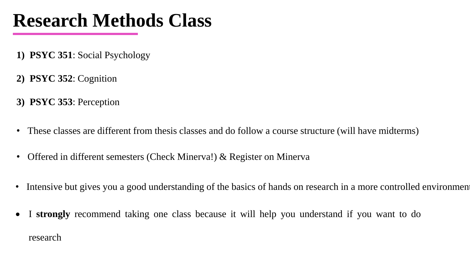## **Research Methods Class**

- **1) PSYC 351**: Social Psychology
- **2) PSYC 352**: Cognition
- **3) PSYC 353**: Perception
- These classes are different from thesis classes and do follow a course structure (will have midterms)
- Offered in different semesters (Check Minerva!) & Register on Minerva
- Intensive but gives you a good understanding of the basics of hands on research in a more controlled environment
- I **strongly** recommend taking one class because it will help you understand if you want to do research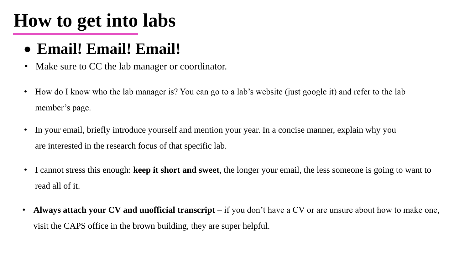# **How to get into labs**

### • **Email! Email! Email!**

- Make sure to CC the lab manager or coordinator.
- How do I know who the lab manager is? You can go to a lab's website (just google it) and refer to the lab member's page.
- In your email, briefly introduce yourself and mention your year. In a concise manner, explain why you are interested in the research focus of that specific lab.
- I cannot stress this enough: **keep it short and sweet**, the longer your email, the less someone is going to want to read all of it.
- **Always attach your CV and unofficial transcript** if you don't have a CV or are unsure about how to make one, visit the CAPS office in the brown building, they are super helpful.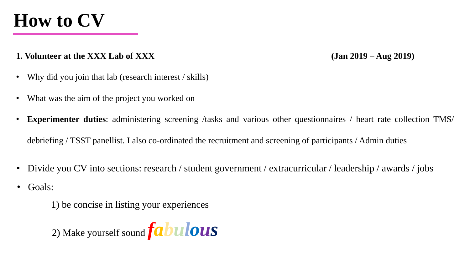

#### **1. Volunteer at the XXX Lab of XXX (Jan 2019 – Aug 2019)**

- Why did you join that lab (research interest / skills)
- What was the aim of the project you worked on
- **Experimenter duties**: administering screening /tasks and various other questionnaires / heart rate collection TMS/ debriefing / TSST panellist. I also co-ordinated the recruitment and screening of participants / Admin duties
- Divide you CV into sections: research / student government / extracurricular / leadership / awards / jobs
- Goals:
	- 1) be concise in listing your experiences

2) Make yourself sound  $fabulous$